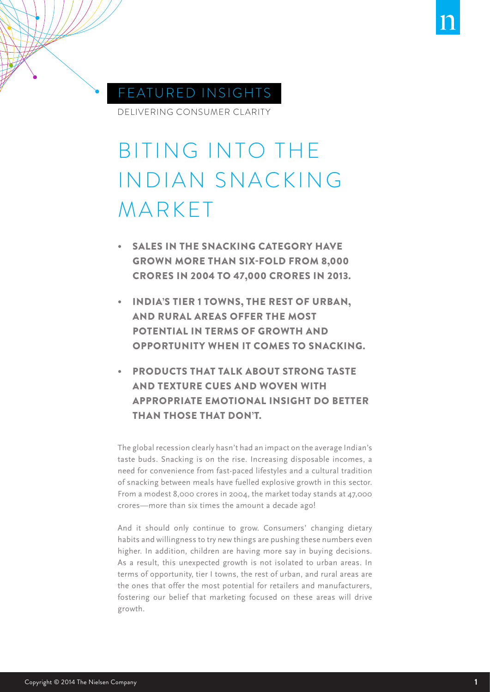

# FEATURED INSIGHTS

DELIVERING CONSUMER CLARITY

# BITING INTO THE INDIAN SNACKING MARKET

- **SALES IN THE SNACKING CATEGORY HAVE** GROWN MORE THAN SIX-FOLD FROM 8,000 CRORES IN 2004 TO 47,000 CRORES IN 2013.
- INDIA'S TIER 1 TOWNS, THE REST OF URBAN, AND RURAL AREAS OFFER THE MOST POTENTIAL IN TERMS OF GROWTH AND OPPORTUNITY WHEN IT COMES TO SNACKING.
- PRODUCTS THAT TALK ABOUT STRONG TASTE AND TEXTURE CUES AND WOVEN WITH APPROPRIATE EMOTIONAL INSIGHT DO BETTER THAN THOSE THAT DON'T.

The global recession clearly hasn't had an impact on the average Indian's taste buds. Snacking is on the rise. Increasing disposable incomes, a need for convenience from fast-paced lifestyles and a cultural tradition of snacking between meals have fuelled explosive growth in this sector. From a modest 8,000 crores in 2004, the market today stands at 47,000 crores—more than six times the amount a decade ago!

And it should only continue to grow. Consumers' changing dietary habits and willingness to try new things are pushing these numbers even higher. In addition, children are having more say in buying decisions. As a result, this unexpected growth is not isolated to urban areas. In terms of opportunity, tier I towns, the rest of urban, and rural areas are the ones that offer the most potential for retailers and manufacturers, fostering our belief that marketing focused on these areas will drive growth.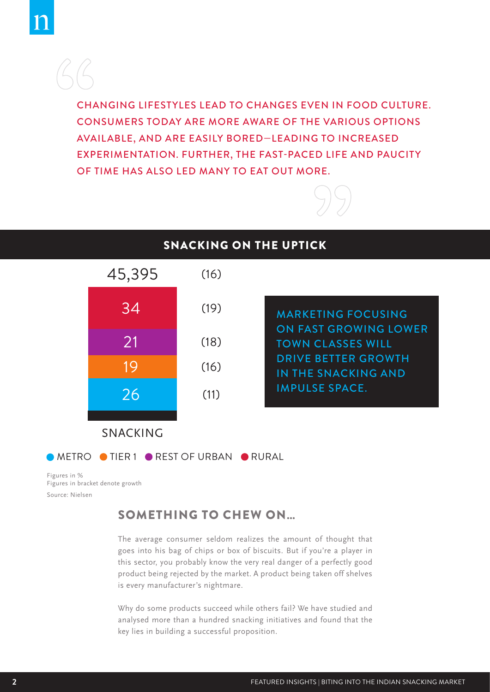CHANGING LIFESTYLES LEAD TO CHANGES EVEN IN FOOD CULTURE. CONSUMERS TODAY ARE MORE AWARE OF THE VARIOUS OPTIONS AVAILABLE, AND ARE EASILY BORED—LEADING TO INCREASED EXPERIMENTATION. FURTHER, THE FAST-PACED LIFE AND PAUCITY OF TIME HAS ALSO LED MANY TO EAT OUT MORE.





Source: Nielsen Figures in % Figures in bracket denote growth

#### SOMETHING TO CHEW ON…

The average consumer seldom realizes the amount of thought that goes into his bag of chips or box of biscuits. But if you're a player in this sector, you probably know the very real danger of a perfectly good product being rejected by the market. A product being taken off shelves is every manufacturer's nightmare.

Why do some products succeed while others fail? We have studied and analysed more than a hundred snacking initiatives and found that the key lies in building a successful proposition.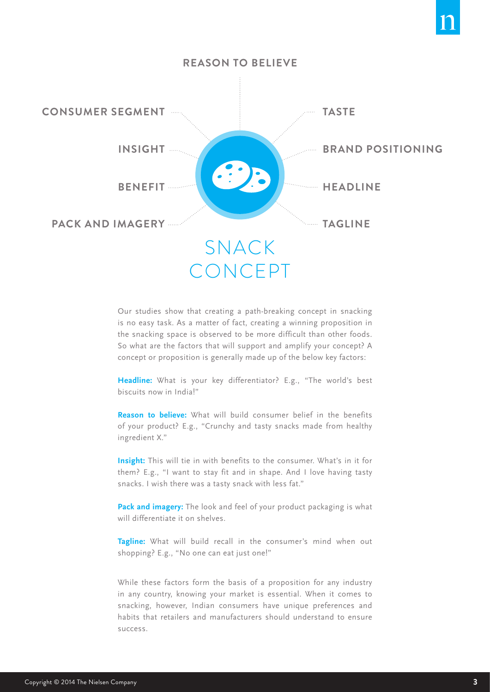



Our studies show that creating a path-breaking concept in snacking is no easy task. As a matter of fact, creating a winning proposition in the snacking space is observed to be more difficult than other foods. So what are the factors that will support and amplify your concept? A concept or proposition is generally made up of the below key factors:

**Headline:** What is your key differentiator? E.g., "The world's best biscuits now in India!"

**Reason to believe:** What will build consumer belief in the benefits of your product? E.g., "Crunchy and tasty snacks made from healthy ingredient X."

**Insight:** This will tie in with benefits to the consumer. What's in it for them? E.g., "I want to stay fit and in shape. And I love having tasty snacks. I wish there was a tasty snack with less fat."

**Pack and imagery:** The look and feel of your product packaging is what will differentiate it on shelves.

**Tagline:** What will build recall in the consumer's mind when out shopping? E.g., "No one can eat just one!"

While these factors form the basis of a proposition for any industry in any country, knowing your market is essential. When it comes to snacking, however, Indian consumers have unique preferences and habits that retailers and manufacturers should understand to ensure success.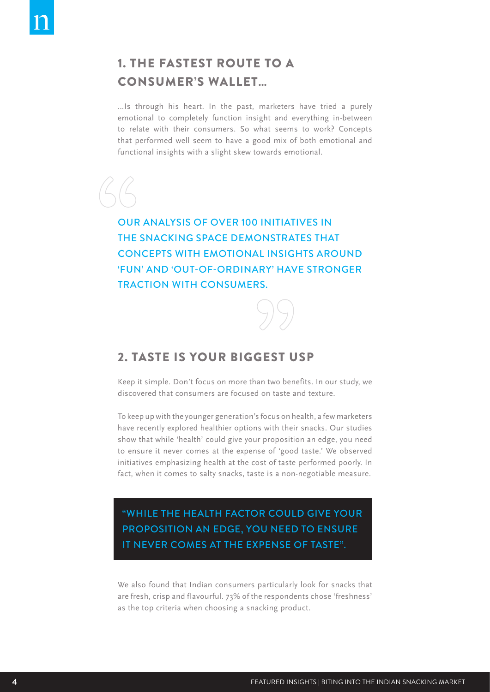# 1. THE FASTEST ROUTE TO A CONSUMER'S WALLET…

…Is through his heart. In the past, marketers have tried a purely emotional to completely function insight and everything in-between to relate with their consumers. So what seems to work? Concepts that performed well seem to have a good mix of both emotional and functional insights with a slight skew towards emotional.

OUR ANALYSIS OF OVER 100 INITIATIVES IN THE SNACKING SPACE DEMONSTRATES THAT CONCEPTS WITH EMOTIONAL INSIGHTS AROUND 'FUN' AND 'OUT-OF-ORDINARY' HAVE STRONGER TRACTION WITH CONSUMERS.

#### 2. TASTE IS YOUR BIGGEST USP

Keep it simple. Don't focus on more than two benefits. In our study, we discovered that consumers are focused on taste and texture.

To keep up with the younger generation's focus on health, a few marketers have recently explored healthier options with their snacks. Our studies show that while 'health' could give your proposition an edge, you need to ensure it never comes at the expense of 'good taste.' We observed initiatives emphasizing health at the cost of taste performed poorly. In fact, when it comes to salty snacks, taste is a non-negotiable measure.

"WHILE THE HEALTH FACTOR COULD GIVE YOUR PROPOSITION AN EDGE, YOU NEED TO ENSURE IT NEVER COMES AT THE EXPENSE OF TASTE".

We also found that Indian consumers particularly look for snacks that are fresh, crisp and flavourful. 73% of the respondents chose 'freshness' as the top criteria when choosing a snacking product.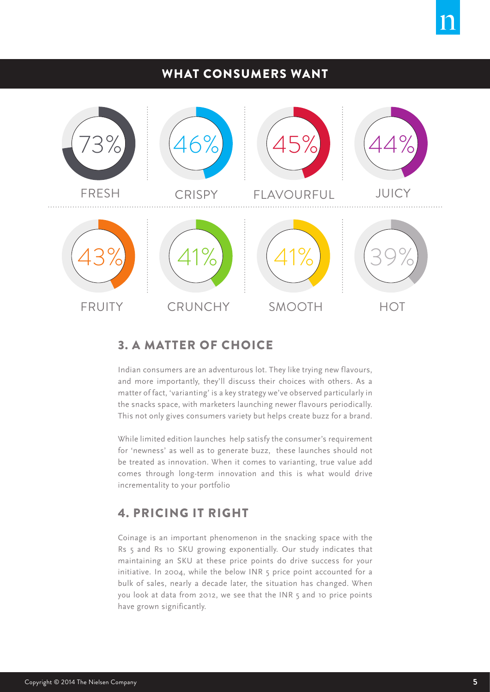# WHAT CONSUMERS WANT



# 3. A MATTER OF CHOICE

Indian consumers are an adventurous lot. They like trying new flavours, and more importantly, they'll discuss their choices with others. As a matter of fact, 'varianting' is a key strategy we've observed particularly in the snacks space, with marketers launching newer flavours periodically. This not only gives consumers variety but helps create buzz for a brand.

While limited edition launches help satisfy the consumer's requirement for 'newness' as well as to generate buzz, these launches should not be treated as innovation. When it comes to varianting, true value add comes through long-term innovation and this is what would drive incrementality to your portfolio

# 4. PRICING IT RIGHT

Coinage is an important phenomenon in the snacking space with the Rs 5 and Rs 10 SKU growing exponentially. Our study indicates that maintaining an SKU at these price points do drive success for your initiative. In 2004, while the below INR 5 price point accounted for a bulk of sales, nearly a decade later, the situation has changed. When you look at data from 2012, we see that the INR 5 and 10 price points have grown significantly.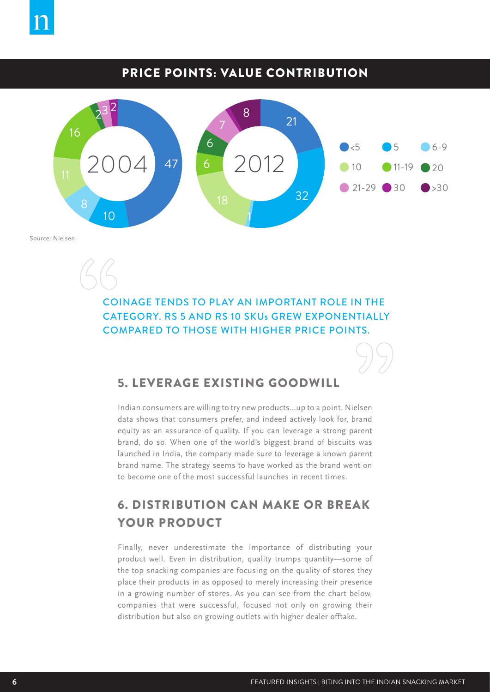

# PRICE POINTS: VALUE CONTRIBUTION



Source: Nielsen

COINAGE TENDS TO PLAY AN IMPORTANT ROLE IN THE CATEGORY. RS 5 AND RS 10 SKUs GREW EXPONENTIALLY COMPARED TO THOSE WITH HIGHER PRICE POINTS.

### 5. LEVERAGE EXISTING GOODWILL

Indian consumers are willing to try new products…up to a point. Nielsen data shows that consumers prefer, and indeed actively look for, brand equity as an assurance of quality. If you can leverage a strong parent brand, do so. When one of the world's biggest brand of biscuits was launched in India, the company made sure to leverage a known parent brand name. The strategy seems to have worked as the brand went on to become one of the most successful launches in recent times.

# 6. DISTRIBUTION CAN MAKE OR BREAK YOUR PRODUCT

Finally, never underestimate the importance of distributing your product well. Even in distribution, quality trumps quantity—some of the top snacking companies are focusing on the quality of stores they place their products in as opposed to merely increasing their presence in a growing number of stores. As you can see from the chart below, companies that were successful, focused not only on growing their distribution but also on growing outlets with higher dealer offtake.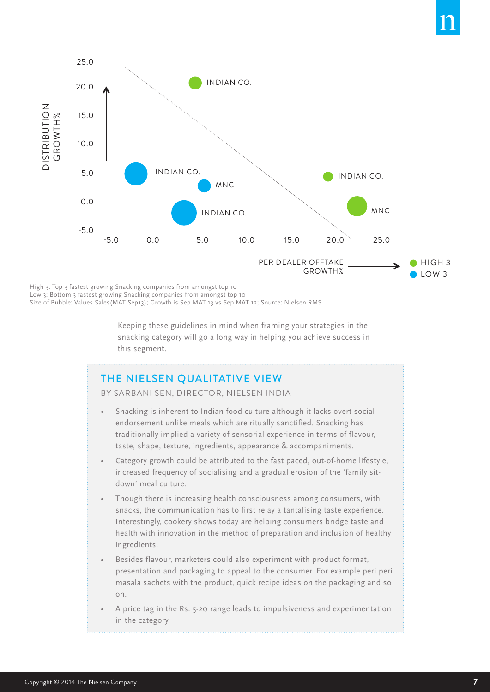

High 3: Top 3 fastest growing Snacking companies from amongst top 10

Low 3: Bottom 3 fastest growing Snacking companies from amongst top 10 Size of Bubble: Values Sales(MAT Sep13); Growth is Sep MAT 13 vs Sep MAT 12; Source: Nielsen RMS

> Keeping these guidelines in mind when framing your strategies in the snacking category will go a long way in helping you achieve success in this segment.

#### THE NIELSEN QUALITATIVE VIEW

BY SARBANI SEN, DIRECTOR, NIELSEN INDIA

- Snacking is inherent to Indian food culture although it lacks overt social endorsement unlike meals which are ritually sanctified. Snacking has traditionally implied a variety of sensorial experience in terms of flavour, taste, shape, texture, ingredients, appearance & accompaniments.
- Category growth could be attributed to the fast paced, out-of-home lifestyle, increased frequency of socialising and a gradual erosion of the 'family sitdown' meal culture.
- Though there is increasing health consciousness among consumers, with snacks, the communication has to first relay a tantalising taste experience. Interestingly, cookery shows today are helping consumers bridge taste and health with innovation in the method of preparation and inclusion of healthy ingredients.
- Besides flavour, marketers could also experiment with product format, presentation and packaging to appeal to the consumer. For example peri peri masala sachets with the product, quick recipe ideas on the packaging and so on.
- A price tag in the Rs. 5-20 range leads to impulsiveness and experimentation in the category.